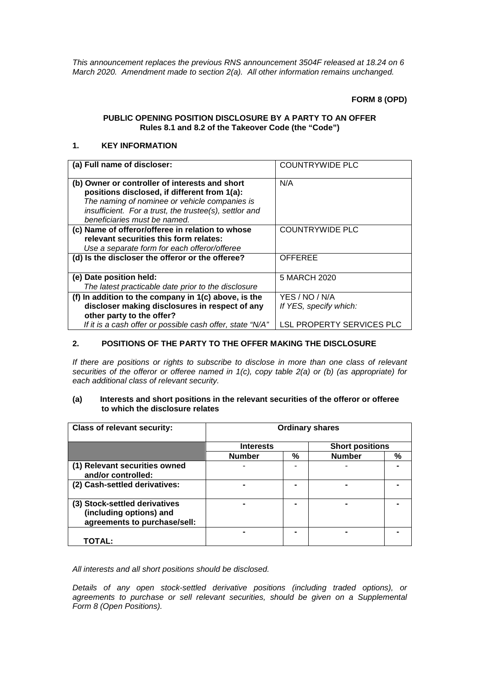*This announcement replaces the previous RNS announcement 3504F released at 18.24 on 6 March 2020. Amendment made to section 2(a). All other information remains unchanged.*

**FORM 8 (OPD)**

# **PUBLIC OPENING POSITION DISCLOSURE BY A PARTY TO AN OFFER Rules 8.1 and 8.2 of the Takeover Code (the "Code")**

# **1. KEY INFORMATION**

| (a) Full name of discloser:                               | <b>COUNTRYWIDE PLC</b>    |
|-----------------------------------------------------------|---------------------------|
| (b) Owner or controller of interests and short            | N/A                       |
| positions disclosed, if different from 1(a):              |                           |
| The naming of nominee or vehicle companies is             |                           |
| insufficient. For a trust, the trustee(s), settlor and    |                           |
| beneficiaries must be named.                              |                           |
| (c) Name of offeror/offeree in relation to whose          | <b>COUNTRYWIDE PLC</b>    |
| relevant securities this form relates:                    |                           |
| Use a separate form for each offeror/offeree              |                           |
| (d) Is the discloser the offeror or the offeree?          | <b>OFFEREE</b>            |
|                                                           |                           |
| (e) Date position held:                                   | 5 MARCH 2020              |
| The latest practicable date prior to the disclosure       |                           |
| (f) In addition to the company in 1(c) above, is the      | YES / NO / N/A            |
| discloser making disclosures in respect of any            | If YES, specify which:    |
| other party to the offer?                                 |                           |
| If it is a cash offer or possible cash offer, state "N/A" | LSL PROPERTY SERVICES PLC |

## **2. POSITIONS OF THE PARTY TO THE OFFER MAKING THE DISCLOSURE**

*If there are positions or rights to subscribe to disclose in more than one class of relevant securities of the offeror or offeree named in 1(c), copy table 2(a) or (b) (as appropriate) for each additional class of relevant security.*

#### **(a) Interests and short positions in the relevant securities of the offeror or offeree to which the disclosure relates**

| <b>Class of relevant security:</b>                                                       | <b>Ordinary shares</b> |   |                        |   |
|------------------------------------------------------------------------------------------|------------------------|---|------------------------|---|
|                                                                                          | <b>Interests</b>       |   | <b>Short positions</b> |   |
|                                                                                          | <b>Number</b>          | % | <b>Number</b>          | % |
| (1) Relevant securities owned<br>and/or controlled:                                      |                        |   |                        |   |
| (2) Cash-settled derivatives:                                                            |                        |   |                        |   |
| (3) Stock-settled derivatives<br>(including options) and<br>agreements to purchase/sell: |                        |   |                        |   |
| <b>TOTAL:</b>                                                                            |                        |   |                        |   |

*All interests and all short positions should be disclosed.*

*Details of any open stock-settled derivative positions (including traded options), or agreements to purchase or sell relevant securities, should be given on a Supplemental Form 8 (Open Positions).*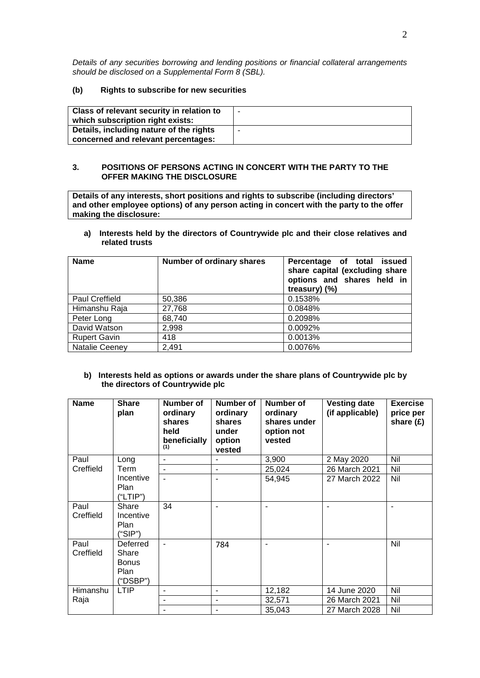*Details of any securities borrowing and lending positions or financial collateral arrangements should be disclosed on a Supplemental Form 8 (SBL).*

#### **(b) Rights to subscribe for new securities**

| Class of relevant security in relation to<br>which subscription right exists:  |  |
|--------------------------------------------------------------------------------|--|
| Details, including nature of the rights<br>concerned and relevant percentages: |  |

#### **3. POSITIONS OF PERSONS ACTING IN CONCERT WITH THE PARTY TO THE OFFER MAKING THE DISCLOSURE**

**Details of any interests, short positions and rights to subscribe (including directors' and other employee options) of any person acting in concert with the party to the offer making the disclosure:**

**a) Interests held by the directors of Countrywide plc and their close relatives and related trusts**

| <b>Name</b>           | Number of ordinary shares | Percentage of total issued<br>share capital (excluding share<br>options and shares held in<br>treasury) (%) |
|-----------------------|---------------------------|-------------------------------------------------------------------------------------------------------------|
| <b>Paul Creffield</b> | 50,386                    | 0.1538%                                                                                                     |
| Himanshu Raja         | 27,768                    | 0.0848%                                                                                                     |
| Peter Long            | 68,740                    | 0.2098%                                                                                                     |
| David Watson          | 2,998                     | 0.0092%                                                                                                     |
| <b>Rupert Gavin</b>   | 418                       | 0.0013%                                                                                                     |
| <b>Natalie Ceeney</b> | 2,491                     | 0.0076%                                                                                                     |

#### **b) Interests held as options or awards under the share plans of Countrywide plc by the directors of Countrywide plc**

| <b>Name</b>       | <b>Share</b><br>plan                                  | Number of<br>ordinary<br>shares<br>held<br>beneficially<br>(1) | Number of<br>ordinary<br>shares<br>under<br>option<br>vested | Number of<br>ordinary<br>shares under<br>option not<br>vested | <b>Vesting date</b><br>(if applicable) | <b>Exercise</b><br>price per<br>share $(f)$ |
|-------------------|-------------------------------------------------------|----------------------------------------------------------------|--------------------------------------------------------------|---------------------------------------------------------------|----------------------------------------|---------------------------------------------|
| Paul              | Long                                                  |                                                                |                                                              | 3,900                                                         | 2 May 2020                             | Nil                                         |
| Creffield         | Term                                                  |                                                                |                                                              | 25,024                                                        | 26 March 2021                          | Nil                                         |
|                   | Incentive<br><b>Plan</b><br>("LTIP")                  |                                                                |                                                              | 54,945                                                        | 27 March 2022                          | Nil                                         |
| Paul<br>Creffield | Share<br>Incentive<br><b>Plan</b><br>"SIP")           | 34                                                             |                                                              |                                                               |                                        |                                             |
| Paul<br>Creffield | Deferred<br>Share<br><b>Bonus</b><br>Plan<br>("DSBP") |                                                                | 784                                                          |                                                               | $\blacksquare$                         | Nil                                         |
| Himanshu          | <b>LTIP</b>                                           |                                                                | $\overline{\phantom{a}}$                                     | 12,182                                                        | 14 June 2020                           | Nil                                         |
| Raja              |                                                       |                                                                | $\overline{\phantom{a}}$                                     | 32,571                                                        | 26 March 2021                          | Nil                                         |
|                   |                                                       |                                                                |                                                              | 35,043                                                        | 27 March 2028                          | Nil                                         |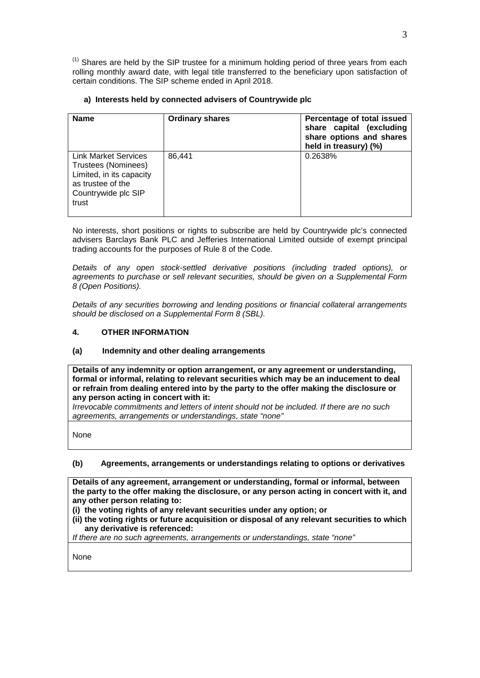$<sup>(1)</sup>$  Shares are held by the SIP trustee for a minimum holding period of three years from each</sup> rolling monthly award date, with legal title transferred to the beneficiary upon satisfaction of certain conditions. The SIP scheme ended in April 2018.

| <b>Name</b>                                                                                                                         | <b>Ordinary shares</b> | Percentage of total issued<br>share capital (excluding<br>share options and shares<br>held in treasury) (%) |
|-------------------------------------------------------------------------------------------------------------------------------------|------------------------|-------------------------------------------------------------------------------------------------------------|
| <b>Link Market Services</b><br>Trustees (Nominees)<br>Limited, in its capacity<br>as trustee of the<br>Countrywide plc SIP<br>trust | 86.441                 | 0.2638%                                                                                                     |

## **a) Interests held by connected advisers of Countrywide plc**

No interests, short positions or rights to subscribe are held by Countrywide plc's connected advisers Barclays Bank PLC and Jefferies International Limited outside of exempt principal trading accounts for the purposes of Rule 8 of the Code.

*Details of any open stock-settled derivative positions (including traded options), or agreements to purchase or sell relevant securities, should be given on a Supplemental Form 8 (Open Positions).*

*Details of any securities borrowing and lending positions or financial collateral arrangements should be disclosed on a Supplemental Form 8 (SBL).*

## **4. OTHER INFORMATION**

#### **(a) Indemnity and other dealing arrangements**

**Details of any indemnity or option arrangement, or any agreement or understanding, formal or informal, relating to relevant securities which may be an inducement to deal or refrain from dealing entered into by the party to the offer making the disclosure or any person acting in concert with it:**

*Irrevocable commitments and letters of intent should not be included. If there are no such agreements, arrangements or understandings, state "none"*

None

#### **(b) Agreements, arrangements or understandings relating to options or derivatives**

**Details of any agreement, arrangement or understanding, formal or informal, between the party to the offer making the disclosure, or any person acting in concert with it, and any other person relating to:**

- **(i) the voting rights of any relevant securities under any option; or**
- **(ii) the voting rights or future acquisition or disposal of any relevant securities to which any derivative is referenced:**

*If there are no such agreements, arrangements or understandings, state "none"*

None